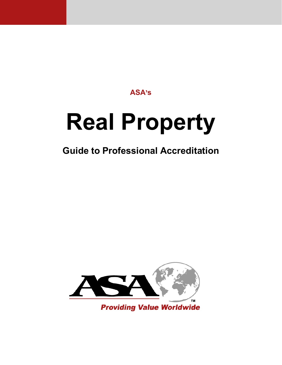# **ASA's**

# **Real Property**

# **Guide to Professional Accreditation**

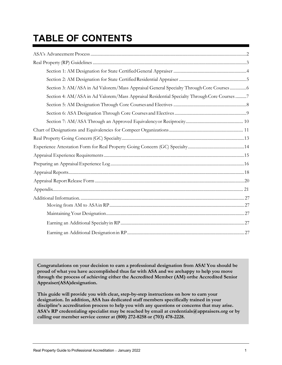# **TABLE OF CONTENTS**

| Section 3: AM/ASA in Ad Valorem/Mass Appraisal General Specialty Through Core Courses6      |  |
|---------------------------------------------------------------------------------------------|--|
| Section 4: AM/ASA in Ad Valorem/Mass Appraisal Residential Specialty Through Core Courses 7 |  |
|                                                                                             |  |
|                                                                                             |  |
|                                                                                             |  |
|                                                                                             |  |
|                                                                                             |  |
|                                                                                             |  |
|                                                                                             |  |
|                                                                                             |  |
|                                                                                             |  |
|                                                                                             |  |
|                                                                                             |  |
|                                                                                             |  |
|                                                                                             |  |
|                                                                                             |  |
|                                                                                             |  |
|                                                                                             |  |

**Congratulations on your decision to earn a professional designation from ASA! You should be proud of what you have accomplished thus far with ASA and we arehappy to help you move through the process of achieving either the Accredited Member (AM) orthe Accredited Senior Appraiser(ASA)designation.**

**This guide will provide you with clear, step-by-step instructions on how to earn your designation. In addition, ASA has dedicated staff members specifically trained in your discipline's accreditation process to help you with any questions or concerns that may arise. ASA's RP credentialing specialist may be reached by email at [credentials@appraisers.org o](mailto:credentials@appraisers.org)r by calling our member service center at (800) 272-8258 or (703) 478-2228.**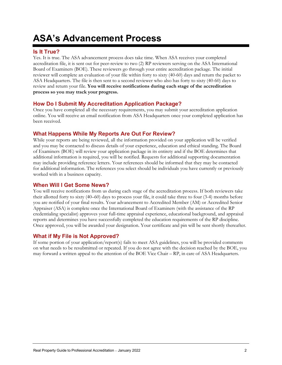# <span id="page-2-0"></span>**ASA's Advancement Process**

#### **Is It True?**

Yes. It is true. The ASA advancement process does take time. When ASA receives your completed accreditation file, it is sent out for peer-review to two (2) RP reviewers serving on the ASA International Board of Examiners (BOE). These reviewers go through your entire accreditation package. The initial reviewer will complete an evaluation of your file within forty to sixty (40-60) days and return the packet to ASA Headquarters. The file is then sent to a second reviewer who also has forty to sixty (40-60) days to review and return your file. **You will receive notifications during each stage of the accreditation process so you may track your progress.**

#### **How Do I Submit My Accreditation Application Package?**

Once you have completed all the necessary requirements, you may submit your accreditation application online. You will receive an email notification from ASA Headquarters once your completed application has been received.

#### **What Happens While My Reports Are Out For Review?**

While your reports are being reviewed, all the information provided on your application will be verified and you may be contacted to discuss details of your experience, education and ethical standing. The Board of Examiners (BOE) will review your application package in its entirety and if the BOE determines that additional information is required, you will be notified. Requests for additional supporting documentation may include providing reference letters. Your references should be informed that they may be contacted for additional information. The references you select should be individuals you have currently or previously worked with in a business capacity.

#### **When Will I Get Some News?**

You will receive notifications from us during each stage of the accreditation process. If both reviewers take their allotted forty to sixty (40–60) days to process your file, it could take three to four (3-4) months before you are notified of your final results. Your advancement to Accredited Member (AM) or Accredited Senior Appraiser (ASA) is complete once the International Board of Examiners (with the assistance of the RP credentialing specialist) approves your full-time appraisal experience, educational background, and appraisal reports and determines you have successfully completed the education requirements of the RP discipline. Once approved, you will be awarded your designation. Your certificate and pin will be sent shortly thereafter.

#### **What if My File is Not Approved?**

If some portion of your application/report(s) fails to meet ASA guidelines, you will be provided comments on what needs to be resubmitted or repeated. If you do not agree with the decision reached by the BOE, you may forward a written appeal to the attention of the BOE Vice Chair – RP, in care of ASA Headquarters.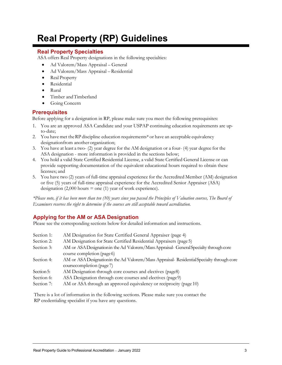# <span id="page-3-0"></span>**Real Property (RP) Guidelines**

# **Real Property Specialties**

ASA offers Real Property designations in the following specialties:

- Ad Valorem/Mass Appraisal General
- Ad Valorem/Mass Appraisal Residential
- Real Property
- **Residential**
- Rural
- Timber andTimberland
- Going Concern

# **Prerequisites**

Before applying for a designation in RP, please make sure you meet the following prerequisites:

- 1. You are an approved ASA Candidate and your USPAP continuing education requirements are upto-date;
- 2. You have met theRP discipline education requirements\* or have an acceptable equivalency designationfrom another organization;
- 3. You have at least a two- (2) year degree for the AM designation or a four- (4) year degree for the ASA designation - more information is provided in the sections below;
- 4. You hold a valid State Certified Residential License, a valid State Certified General License or can provide supporting documentation of the equivalent educational hours required to obtain these licenses; and
- 5. You have two (2) years of full-time appraisal experience for the Accredited Member (AM) designation or five (5) years of full-time appraisal experience for the Accredited Senior Appraiser (ASA) designation  $(2,000 \text{ hours} = \text{one} (1)$  year of work experience).

*\*Please note, if it has been more than ten (10) years since you passed the Principles of Valuation courses, The Board of Examiners reserves the right to determine if the courses are still acceptable toward accreditation.*

# **Applying for the AM or ASA Designation**

Please see the corresponding sections below for detailed information and instructions.

| Section 1: | AM Designation for State Certified General Appraiser (page 4)                             |
|------------|-------------------------------------------------------------------------------------------|
| Section 2: | AM Designation for State Certified Residential Appraisers (page 5)                        |
| Section 3: | AM or ASA Designation in the Ad Valorem/Mass Appraisal- General Specialty through core    |
|            | course completion (page 6)                                                                |
| Section 4: | AM or ASA Designation in the Ad Valorem/Mass Appraisal-Residential Specialty through core |
|            | coursecompletion (page 7)                                                                 |
| Section 5: | AM Designation through core courses and electives (page8)                                 |
| Section 6: | ASA Designation through core courses and electives (page9)                                |
| Section 7: | AM or ASA through an approved equivalency or reciprocity (page 10)                        |
|            |                                                                                           |

There is a lot of information in the following sections. Please make sure you contact the RP credentialing specialist if you have any questions.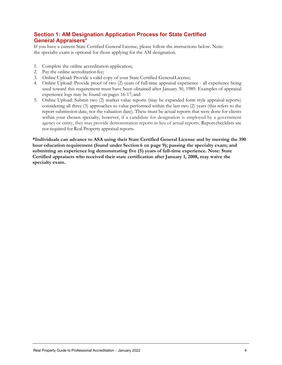# **Section 1: AM Designation Application Process for State Certified General Appraisers\***

If you have a current State Certified General License, please follow the instructions below. Note: the specialty exam is optional for those applying for the AM designation.

- 1. Complete the online accreditation application;
- 2. Pay the online accreditation fee;
- 3. Online Upload: Provide a valid copy of your State Certified GeneralLicense;
- 4. Online Upload: Provide proof of two (2) years of full-time appraisal experience all experience being used toward this requirement must have been obtained after January 30, 1989. Examples of appraisal experience logs may be found on pages 16-17; and
- 5. Online Upload: Submit two (2) market value reports (may be expanded form style appraisal reports) considering all three (3) approaches to value performed within the last two (2) years (this refers to the report submission date, not the valuation date). These must be actual reports that were done for clients within your chosen specialty; however, if a candidate for designation is employed by a government agency or entity, they may provide demonstration reports in lieu of actual reports. Report checklists are notrequired for Real Property appraisal reports.

**\*Individuals can advance to ASA using their State Certified General License and by meeting the 390 hour education requirement (found under Section 6 on page 9); passing the specialty exam; and submitting an experience log demonstrating five (5) years of full-time experience. Note: State Certified appraisers who received their state certification after January 1, 2008, may waive the specialty exam.**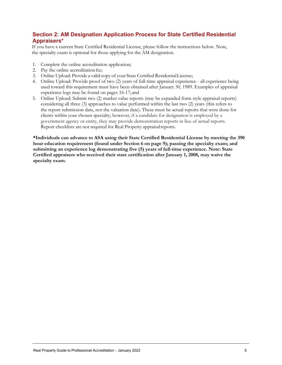# **Section 2: AM Designation Application Process for State Certified Residential Appraisers\***

If you have a current State Certified Residential License, please follow the instructions below. Note, the specialty exam is optional for those applying for the AM designation.

- 1. Complete the online accreditation application;
- 2. Pay the online accreditation fee;
- 3. Online Upload: Provide a valid copy of your State Certified ResidentialLicense;
- 4. Online Upload: Provide proof of two (2) years of full-time appraisal experience all experience being used toward this requirement must have been obtained after January 30, 1989. Examples of appraisal experience logs may be found on pages 16-17; and
- 5. Online Upload: Submit two (2) market value reports (may be expanded form style appraisal reports) considering all three (3) approaches to value performed within the last two (2) years (this refers to the report submission date, not the valuation date). These must be actual reports that were done for clients within your chosen specialty; however, if a candidate for designation is employed by a government agency or entity, they may provide demonstration reports in lieu of actual reports. Report checklists are not required for Real Property appraisalreports.

**\*Individuals can advance to ASA using their State Certified Residential License by meeting the 390 hour education requirement (found under Section 6 on page 9); passing the specialty exam; and submitting an experience log demonstrating five (5) years of full-time experience. Note: State Certified appraisers who received their state certification after January 1, 2008, may waive the specialty exam.**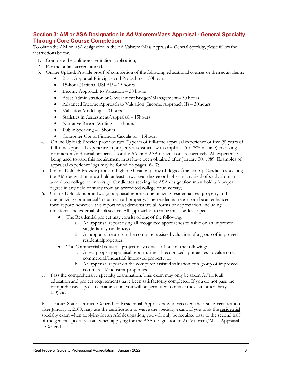### **Section 3: AM or ASA Designation in Ad Valorem/Mass Appraisal - General Specialty Through Core Course Completion**

To obtain the AM or ASA designation in the Ad Valorem/Mass Appraisal – General Specialty, please follow the instructions below.

- 1. Complete the online accreditation application;
- 2. Pay the online accreditation fee;
- 3. Online Upload: Provide proof of completion of the following educational courses or their equivalents:
	- Basic Appraisal Principals and Procedures 30hours
	- 15-hour National USPAP 15 hours
	- Income Approach to Valuation 30 hours
	- Asset Administration or Government Budget/Management 30 hours
	- Advanced Income Approach to Valuation (Income Approach II) 30hours
	- Valuation Modeling 30 hours
	- Statistics in Assessment/Appraisal 15hours
	- Narrative Report Writing 15 hours
	- Public Speaking 15hours
	- Computer Use or Financial Calculator –15hours
- 4. Online Upload: Provide proof of two (2) years of full-time appraisal experience or five (5) years of full-time appraisal experience in property assessment with emphasis (or 75% of time) involving commercial/industrial properties for the AM and ASA designations respectively. All experience being used toward this requirement must have been obtained after January 30, 1989. Examples of appraisal experience logs may be found on pages16-17;
- 5. Online Upload: Provide proof of higher education (copy of degree/transcript). Candidates seeking the AM designation must hold at least a two-year degree or higher in any field of study from an accredited college or university. Candidates seeking the ASA designation must hold a four-year degree in any field of study from an accredited college oruniversity;
- 6. Online Upload: Submit two (2) appraisal reports; one utilizing residential real property and one utilizing commercial/industrial real property. The residential report can be an enhanced form report; however, this report must demonstrate all forms of depreciation, including functional and external obsolescence. All approaches to value must be developed.
	- The Residential project may consist of one of the following:
		- a. An appraisal report using all recognized approaches to value on an improved single-family residence,or
		- b. An appraisal report on the computer assisted valuation of a group of improved residentialproperties.
	- The Commercial/Industrial project may consist of one of the following:
		- a. A real property appraisal report using all recognized approaches to value on a commercial/industrial improved property, or
		- b. An appraisal report on the computer assisted valuation of a group of improved commercial/industrialproperties.
- 7. Pass the comprehensive specialty examination. This exam may only be taken AFTER all education and project requirements have been satisfactorily completed. If you do not pass the comprehensive specialty examination, you will be permitted to retake the exam after thirty (30) days.

Please note: State Certified General or Residential Appraisers who received their state certification after January 1, 2008, may use the certification to waive the specialty exam. If you took the residential specialty exam when applying for an AM designation, you will only be required pass to the second half of the general specialty exam when applying for the ASA designation in Ad Valorem/Mass Appraisal – General.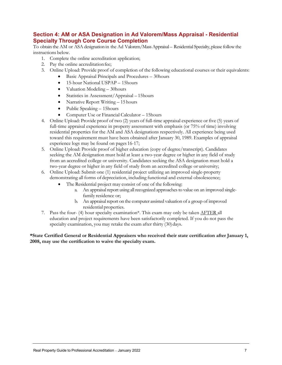### **Section 4: AM or ASA Designation in Ad Valorem/Mass Appraisal - Residential Specialty Through Core Course Completion**

To obtain the AM or ASA designation in the Ad Valorem/Mass Appraisal – Residential Specialty, please follow the instructions below.

- 1. Complete the online accreditation application;
- 2. Pay the online accreditation fee;
- 3. Online Upload: Provide proof of completion of the following educational courses or their equivalents:
	- Basic Appraisal Principals and Procedures 30hours
	- 15-hour National USPAP 15hours
	- Valuation Modeling 30 hours
	- Statistics in Assessment/Appraisal 15hours
	- Narrative Report Writing 15 hours
	- Public Speaking 15 hours
	- Computer Use or Financial Calculator 15 hours
- 4. Online Upload: Provide proof of two (2) years of full-time appraisal experience or five (5) years of full-time appraisal experience in property assessment with emphasis (or 75% of time) involving residential properties for the AM and ASA designations respectively. All experience being used toward this requirement must have been obtained after January 30, 1989. Examples of appraisal experience logs may be found on pages 16-17;
- 5. Online Upload: Provide proof of higher education (copy of degree/transcript). Candidates seeking the AM designation must hold at least a two-year degree or higher in any field of study from an accredited college or university. Candidates seeking the ASA designation must hold a two-year degree or higher in any field of study from an accredited college or university;
- 6. Online Upload: Submit one (1) residential project utilizing an improved single-property demonstrating all forms of depreciation, including functional and external obsolescence;
	- The Residential project may consist of one of the following:
		- a. An appraisal report using all recognized approaches to value on an improved singlefamily residence or;
		- b. An appraisal report on the computer assisted valuation of a group of improved residential properties.
- 7. Pass the four- (4) hour specialty examination\*. This exam may only be taken  $\triangle$ FTER all education and project requirements have been satisfactorily completed. If you do not pass the specialty examination, you may retake the exam after thirty (30) days.

**\*State Certified General or Residential Appraisers who received their state certification after January 1, 2008, may use the certification to waive the specialty exam.**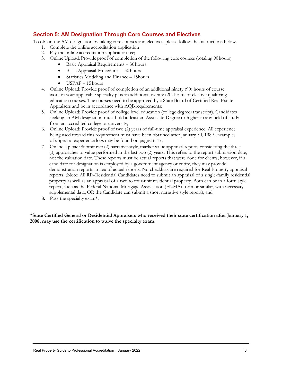# **Section 5: AM Designation Through Core Courses and Electives**

To obtain the AM designation by taking core courses and electives, please follow the instructions below.

- 1. Complete the online accreditation application
- 2. Pay the online accreditation application fee;
- 3. Online Upload: Provide proof of completion of the following core courses (totaling 90hours)
	- Basic Appraisal Requirements 30hours
	- Basic Appraisal Procedures 30 hours
	- Statistics Modeling and Finance 15 hours
	- USPAP 15hours
- 4. Online Upload: Provide proof of completion of an additional ninety (90) hours of course work in your applicable specialty plus an additional twenty (20) hours of elective qualifying education courses. The courses need to be approved by a State Board of Certified Real Estate Appraisers and be in accordance with AQB requirements;
- 5. Online Upload: Provide proof of college level education (college degree/transcript). Candidates seeking an AM designation must hold at least an Associate Degree or higher in any field of study from an accredited college or university;
- 6. Online Upload: Provide proof of two (2) years of full-time appraisal experience. All experience being used toward this requirement must have been obtained after January 30, 1989. Examples of appraisal experience logs may be found on pages16-17;
- 7. Online Upload: Submit two (2) narrative-style, market value appraisal reports considering the three (3) approaches to value performed in the last two (2) years. This refers to the report submission date, not the valuation date. These reports must be actual reports that were done for clients; however, if a candidate for designation is employed by a government agency or entity, they may provide demonstration reports in lieu of actual reports. No checklists are required for Real Property appraisal reports. (Note: All RP–Residential Candidates need to submit an appraisal of a single-family residential property as well as an appraisal of a two to four-unit residential property. Both can be in a form style report, such as the Federal National Mortgage Association (FNMA) form or similar, with necessary supplemental data, OR the Candidate can submit a short narrative style report); and
- 8. Pass the specialty exam\*.

**\*State Certified General or Residential Appraisers who received their state certification after January 1, 2008, may use the certification to waive the specialty exam.**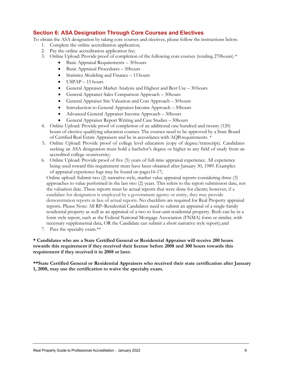#### **Section 6: ASA Designation Through Core Courses and Electives**

To obtain the ASA designation by taking core courses and electives, please follow the instructions below.

- 1. Complete the online accreditation application;
- 2. Pay the online accreditation application fee;
- 3. Online Upload: Provide proof of completion of the following core courses (totaling 270hours) \*
	- Basic Appraisal Requirements 30hours
	- Basic Appraisal Procedures 30hours
	- Statistics Modeling and Finance 15 hours
	- USPAP 15 hours
	- General Appraiser Market Analysis and Highest and Best Use 30 hours
	- General Appraiser Sales Comparison Approach 30hours
	- General Appraiser Site Valuation and Cost Approach 30hours
	- Introduction to General Appraiser Income Approach 30 hours
	- Advanced General Appraiser Income Approach 30hours
	- General Appraiser Report Writing and Case Studies 30 hours
- 4. Online Upload: Provide proof of completion of an additional one hundred and twenty (120) hours of elective qualifying education courses. The courses need to be approved by a State Board of Certified Real Estate Appraisers and be in accordance with AQBrequirements. \*
- 5. Online Upload: Provide proof of college level education (copy of degree/transcript). Candidates seeking an ASA designation must hold a bachelor's degree or higher in any field of study from an accredited college oruniversity;
- 6. Online Upload: Provide proof of five (5) years of full-time appraisal experience. All experience being used toward this requirement must have been obtained after January 30, 1989. Examples of appraisal experience logs may be found on pages16-17;

Online upload: Submit two (2) narrative-style, market value appraisal reports considering three (3) approaches to value performed in the last two (2) years. This refers to the report submission date, not the valuation date. These reports must be actual reports that were done for clients; however, if a candidate for designation is employed by a government agency or entity, they may provide demonstration reports in lieu of actual reports. No checklists are required for Real Property appraisal reports. Please Note: All RP–Residential Candidates need to submit an appraisal of a single-family residential property as well as an appraisal of a two to four-unit residential property. Both can be in a form style report, such as the Federal National Mortgage Association (FNMA) form or similar, with necessary supplemental data, OR the Candidate can submit a short narrative style report);and

7. Pass the specialty exam.\*\*

#### **\* Candidates who are a State Certified General or Residential Appraiser will receive 200 hours towards this requirement if they received their license before 2008 and 300 hours towards this requirement if they received it in 2008 or later.**

**\*\*State Certified General or Residential Appraisers who received their state certification after January 1, 2008, may use the certification to waive the specialty exam.**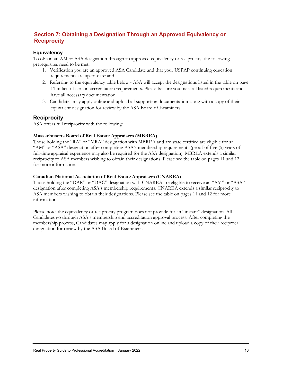# **Section 7: Obtaining a Designation Through an Approved Equivalency or Reciprocity**

#### **Equivalency**

To obtain an AM or ASA designation through an approved equivalency or reciprocity, the following prerequisites need to be met:

- 1. Verification you are an approved ASA Candidate and that your USPAP continuing education requirements are up-to-date; and
- 2. Referring to the equivalency table below ASA will accept the designations listed in the table on page 11 in lieu of certain accreditation requirements. Please be sure you meet all listed requirements and have all necessary documentation.
- 3. Candidates may apply online and upload all supporting documentation along with a copy of their equivalent designation for review by the ASA Board of Examiners.

#### **Reciprocity**

ASA offers full reciprocity with the following:

#### **Massachusetts Board of Real Estate Appraisers (MBREA)**

Those holding the "RA" or "MRA" designation with MBREA and are state certified are eligible for an "AM" or "ASA" designation after completing ASA's membership requirements (proof of five (5) years of full-time appraisal experience may also be required for the ASA designation). MBREA extends a similar reciprocity to ASA members wishing to obtain their designations. Please see the table on pages 11 and 12 for more information.

#### **Canadian National Association of Real Estate Appraisers (CNAREA)**

Those holding the "DAR" or "DAC" designation with CNAREA are eligible to receive an "AM" or "ASA" designation after completing ASA's membership requirements. CNAREA extends a similar reciprocity to ASA members wishing to obtain their designations. Please see the table on pages 11 and 12 for more information.

Please note: the equivalency or reciprocity program does not provide for an "instant" designation. All Candidates go through ASA's membership and accreditation approval process. After completing the membership process, Candidates may apply for a designation online and upload a copy of their reciprocal designation for review by the ASA Board of Examiners.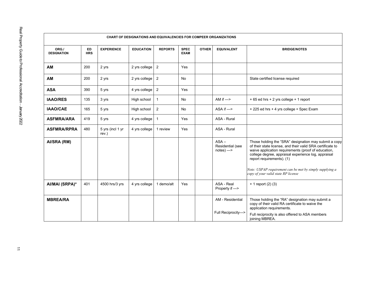| CHART OF DESIGNATIONS AND EQUIVALENCIES FOR COMPEER ORGANIZATIONS |                         |                           |                  |                |                            |              |                                             |                                                                                                                                                                                                                                                                                                                                                                   |  |
|-------------------------------------------------------------------|-------------------------|---------------------------|------------------|----------------|----------------------------|--------------|---------------------------------------------|-------------------------------------------------------------------------------------------------------------------------------------------------------------------------------------------------------------------------------------------------------------------------------------------------------------------------------------------------------------------|--|
| ORG./<br><b>DESIGNATION</b>                                       | <b>ED</b><br><b>HRS</b> | <b>EXPERIENCE</b>         | <b>EDUCATION</b> | <b>REPORTS</b> | <b>SPEC</b><br><b>EXAM</b> | <b>OTHER</b> | <b>EQUIVALENT</b>                           | <b>BRIDGE/NOTES</b>                                                                                                                                                                                                                                                                                                                                               |  |
| AM                                                                | 200                     | 2 yrs                     | 2 yrs college    | $\overline{2}$ | Yes                        |              |                                             |                                                                                                                                                                                                                                                                                                                                                                   |  |
| AM                                                                | 200                     | 2 yrs                     | 2 yrs college    | $\overline{2}$ | No                         |              |                                             | State certified license required                                                                                                                                                                                                                                                                                                                                  |  |
| <b>ASA</b>                                                        | 390                     | 5 yrs                     | 4 yrs college    | $\overline{2}$ | Yes                        |              |                                             |                                                                                                                                                                                                                                                                                                                                                                   |  |
| <b>IAAO/RES</b>                                                   | 135                     | 3 yrs                     | High school      | $\mathbf{1}$   | <b>No</b>                  |              | AM if $\Rightarrow$                         | + 65 ed hrs + 2 yrs college + 1 report                                                                                                                                                                                                                                                                                                                            |  |
| <b>IAAO/CAE</b>                                                   | 165                     | 5 yrs                     | High school      | $\overline{2}$ | No                         |              | ASA if $\Rightarrow$                        | + 225 ed hrs + 4 yrs college + Spec Exam                                                                                                                                                                                                                                                                                                                          |  |
| <b>ASFMRA/ARA</b>                                                 | 419                     | 5 yrs                     | 4 yrs college    | $\mathbf{1}$   | Yes                        |              | ASA - Rural                                 |                                                                                                                                                                                                                                                                                                                                                                   |  |
| <b>ASFMRA/RPRA</b>                                                | 480                     | 5 yrs (incl 1 yr<br>rev.) | 4 yrs college    | 1 review       | Yes                        |              | ASA - Rural                                 |                                                                                                                                                                                                                                                                                                                                                                   |  |
| AI/SRA (RM)                                                       |                         |                           |                  |                |                            |              | $ASA -$<br>Residential (see<br>$notes) < -$ | Those holding the "SRA" designation may submit a copy<br>of their state license, and their valid SRA certificate to<br>waive application requirements (proof of education,<br>college degree, appraisal experience log, appraisal<br>report requirements). (1)<br>Note: USPAP requirement can be met by simply supplying a<br>copy of your valid state RP license |  |
| AI/MAI (SRPA)*                                                    | 401                     | 4500 hrs/3 yrs            | 4 yrs college    | 1 demo/alt     | Yes                        |              | ASA - Real<br>Property if ->                | + 1 report (2) (3)                                                                                                                                                                                                                                                                                                                                                |  |
| <b>MBREA/RA</b>                                                   |                         |                           |                  |                |                            |              | AM - Residential<br>Full Reciprocity->      | Those holding the "RA" designation may submit a<br>copy of their valid RA certificate to waive the<br>application requirements.<br>Full reciprocity is also offered to ASA members<br>joining MBREA.                                                                                                                                                              |  |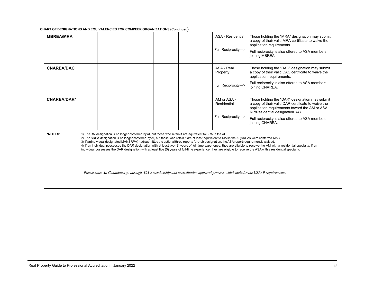**CHART OF DESIGNATIONS AND EQUIVALENCIES FOR COMPEER ORGANIZATIONS (Continued**)

| <b>MBREA/MRA</b>   |                                                                                                                                                                                                                                                                                                                                                                                                                                                                                                                                                                                                                                                                                                                                                                                                                                                                                                                    |  |  |  |  |  | ASA - Residential<br>Full Reciprocity->          | Those holding the "MRA" designation may submit<br>a copy of their valid MRA certificate to waive the<br>application requirements.<br>Full reciprocity is also offered to ASA members<br>joining MBREA                                                          |
|--------------------|--------------------------------------------------------------------------------------------------------------------------------------------------------------------------------------------------------------------------------------------------------------------------------------------------------------------------------------------------------------------------------------------------------------------------------------------------------------------------------------------------------------------------------------------------------------------------------------------------------------------------------------------------------------------------------------------------------------------------------------------------------------------------------------------------------------------------------------------------------------------------------------------------------------------|--|--|--|--|--|--------------------------------------------------|----------------------------------------------------------------------------------------------------------------------------------------------------------------------------------------------------------------------------------------------------------------|
| <b>CNAREA/DAC</b>  |                                                                                                                                                                                                                                                                                                                                                                                                                                                                                                                                                                                                                                                                                                                                                                                                                                                                                                                    |  |  |  |  |  | ASA - Real<br>Property<br>Full Reciprocity->     | Those holding the "DAC" designation may submit<br>a copy of their valid DAC certificate to waive the<br>application requirements.<br>Full reciprocity is also offered to ASA members<br>joining CNAREA.                                                        |
| <b>CNAREA/DAR*</b> |                                                                                                                                                                                                                                                                                                                                                                                                                                                                                                                                                                                                                                                                                                                                                                                                                                                                                                                    |  |  |  |  |  | AM or ASA -<br>Residential<br>Full Reciprocity-> | Those holding the "DAR" designation may submit<br>a copy of their valid DAR certificate to waive the<br>application requirements toward the AM or ASA<br>RP/Residential designation. (4)<br>Full reciprocity is also offered to ASA members<br>joining CNAREA. |
| *NOTES:            | 1) The RM designation is no longer conferred by AI, but those who retain it are equivalent to SRA in the AI.<br>2) The SRPA designation is no longer conferred by AI, but those who retain it are at least equivalent to MAI in the AI (SRPAs were conferred MAI).<br>3) If an individual designated MAI (SRPA) had submitted the optional three reports for their designation, the ASA report requirement is waived.<br>4) If an individual possesses the DAR designation with at least two (2) years of full-time experience, they are eligible to receive the AM with a residential specialty. If an<br>individual possesses the DAR designation with at least five (5) years of full-time experience, they are eligible to receive the ASA with a residential specialty.<br>Please note: All Candidates go through ASA's membership and accreditation approval process, which includes the USPAP requirements. |  |  |  |  |  |                                                  |                                                                                                                                                                                                                                                                |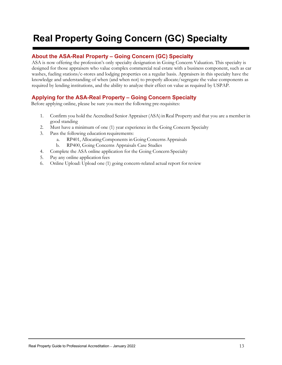# <span id="page-13-0"></span>**Real Property Going Concern (GC) Specialty**

# **About the ASA-Real Property – Going Concern (GC) Specialty**

ASA is now offering the profession's only specialty designation in Going Concern Valuation. This specialty is designed for those appraisers who value complex commercial real estate with a business component, such as car washes, fueling stations/c-stores and lodging properties on a regular basis. Appraisers in this specialty have the knowledge and understanding of when (and when not) to properly allocate/segregate the value components as required by lending institutions, and the ability to analyze their effect on value as required by USPAP.

# **Applying for the ASA-Real Property – Going Concern Specialty**

Before applying online, please be sure you meet the following pre-requisites:

- 1. Confirm you hold the Accredited Senior Appraiser (ASA) inReal Property and that you are a member in good standing
- 2. Must have a minimum of one (1) year experience in the Going Concern Specialty
- 3. Pass the following education requirements:
	- a. RP401, Allocating Components in Going Concerns Appraisals
	- b. RP400, Going Concerns Appraisals Case Studies
- 4. Complete the ASA online application for the Going Concern Specialty
- 5. Pay any online application fees
- 6. Online Upload: Upload one (1) going concern-related actual report for review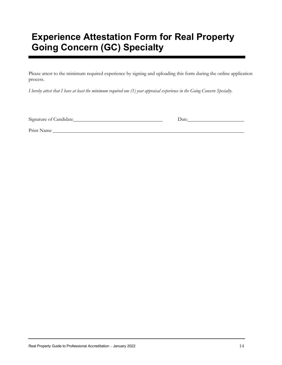# <span id="page-14-0"></span>**Experience Attestation Form for Real Property Going Concern (GC) Specialty**

Please attest to the minimum required experience by signing and uploading this form during the online application process.

I hereby attest that I have at least the minimum required one (1) year appraisal experience in the Going Concern Specialty.

Signature of Candidate Date Date

Print Name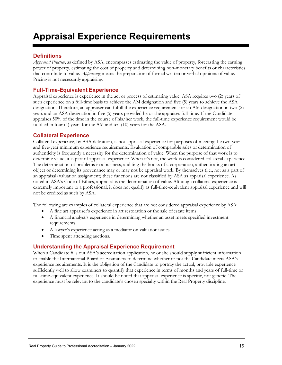# <span id="page-15-0"></span>**Appraisal Experience Requirements**

### **Definitions**

*Appraisal Practice*, as defined by ASA, encompasses estimating the value of property, forecasting the earning power of property, estimating the cost of property and determining non-monetary benefits or characteristics that contribute to value*. Appraising* means the preparation of formal written or verbal opinions of value. Pricing is not necessarily appraising.

#### **Full-Time-Equivalent Experience**

Appraisal experience is experience in the act or process of estimating value. ASA requires two (2) years of such experience on a full-time basis to achieve the AM designation and five (5) years to achieve the ASA designation. Therefore, an appraiser can fulfill the experience requirement for an AM designation in two (2) years and an ASA designation in five (5) years provided he or she appraises full-time. If the Candidate appraises 50% of the time in the course of his/her work, the full-time experience requirement would be fulfilled in four (4) years for the AM and ten (10) years for the ASA.

#### **Collateral Experience**

Collateral experience, by ASA definition, is not appraisal experience for purposes of meeting the two-year and five-year minimum experience requirements. Evaluation of comparable sales or determination of authenticity is frequently a necessity for the determination of value. When the purpose of that work is to determine value, it is part of appraisal experience. When it's not, the work is considered collateral experience. The determination of problems in a business, auditing the books of a corporation, authenticating an art object or determining its provenance may or may not be appraisal work. By themselves (i.e., not as a part of an appraisal/valuation assignment) these functions are not classified by ASA as appraisal experience. As noted in ASA's Code of Ethics, appraisal is the determination of value. Although collateral experience is extremely important to a professional, it does not qualify as full-time-equivalent appraisal experience and will not be credited as such by ASA.

The following are examples of collateral experience that are not considered appraisal experience by ASA:

- A fine art appraiser's experience in art restoration or the sale of estate items.
- A financial analyst's experience in determining whether an asset meets specified investment requirements.
- A lawyer's experience acting as a mediator on valuation issues.
- Time spent attending auctions.

#### **Understanding the Appraisal Experience Requirement**

When a Candidate fills out ASA's accreditation application, he or she should supply sufficient information to enable the International Board of Examiners to determine whether or not the Candidate meets ASA's experience requirements. It is the obligation of the Candidate to portray the actual, provable experience sufficiently well to allow examiners to quantify that experience in terms of months and years of full-time or full-time-equivalent experience. It should be noted that appraisal experience is specific, not generic. The experience must be relevant to the candidate's chosen specialty within the Real Property discipline.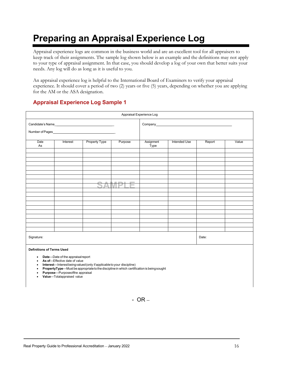# <span id="page-16-0"></span>**Preparing an Appraisal Experience Log**

Appraisal experience logs are common in the business world and are an excellent tool for all appraisers to keep track of their assignments. The sample log shown below is an example and the definitions may not apply to your type of appraisal assignment. In that case, you should develop a log of your own that better suits your needs. Any log will do as long as it is useful to you.

An appraisal experience log is helpful to the International Board of Examiners to verify your appraisal experience. It should cover a period of two (2) years or five (5) years, depending on whether you are applying for the AM or the ASA designation.

# **Appraisal Experience Log Sample 1**

| Appraisal Experience Log                                                                                                                                                                                                                                                                                                                                                                                       |          |                                     |         |                    |              |        |       |
|----------------------------------------------------------------------------------------------------------------------------------------------------------------------------------------------------------------------------------------------------------------------------------------------------------------------------------------------------------------------------------------------------------------|----------|-------------------------------------|---------|--------------------|--------------|--------|-------|
|                                                                                                                                                                                                                                                                                                                                                                                                                |          | Candidate's Name<br>Number of Pages |         |                    |              |        |       |
| Date<br>As                                                                                                                                                                                                                                                                                                                                                                                                     | Interest | <b>Property Type</b>                | Purpose | Assignment<br>Type | Intended Use | Report | Value |
|                                                                                                                                                                                                                                                                                                                                                                                                                |          |                                     |         |                    |              |        |       |
|                                                                                                                                                                                                                                                                                                                                                                                                                |          |                                     |         |                    |              |        |       |
|                                                                                                                                                                                                                                                                                                                                                                                                                |          |                                     |         |                    |              |        |       |
|                                                                                                                                                                                                                                                                                                                                                                                                                |          |                                     |         |                    |              |        |       |
|                                                                                                                                                                                                                                                                                                                                                                                                                |          |                                     |         |                    |              |        |       |
|                                                                                                                                                                                                                                                                                                                                                                                                                |          |                                     |         |                    |              |        |       |
|                                                                                                                                                                                                                                                                                                                                                                                                                |          | W<br>$\sim$                         | -       |                    |              |        |       |
|                                                                                                                                                                                                                                                                                                                                                                                                                |          |                                     |         |                    |              |        |       |
|                                                                                                                                                                                                                                                                                                                                                                                                                |          |                                     |         |                    |              |        |       |
|                                                                                                                                                                                                                                                                                                                                                                                                                |          |                                     |         |                    |              |        |       |
|                                                                                                                                                                                                                                                                                                                                                                                                                |          |                                     |         |                    |              |        |       |
|                                                                                                                                                                                                                                                                                                                                                                                                                |          |                                     |         |                    |              |        |       |
|                                                                                                                                                                                                                                                                                                                                                                                                                |          |                                     |         |                    |              |        |       |
|                                                                                                                                                                                                                                                                                                                                                                                                                |          |                                     |         |                    |              |        |       |
|                                                                                                                                                                                                                                                                                                                                                                                                                |          |                                     |         |                    |              |        |       |
| Signature:                                                                                                                                                                                                                                                                                                                                                                                                     |          |                                     |         |                    |              | Date:  |       |
| <b>Definitions of Terms Used</b><br>Date-Date of the appraisal report<br>$\bullet$<br>As of-Effective date of value<br>$\bullet$<br>Interest-Interest being valued (only if applicable to your discipline)<br>$\bullet$<br>PropertyType-Must be appropriate to the discipline in which certification is being sought<br>$\bullet$<br>Purpose-Purposeofthe appraisal<br>Value-Totalappraised value<br>$\bullet$ |          |                                     |         |                    |              |        |       |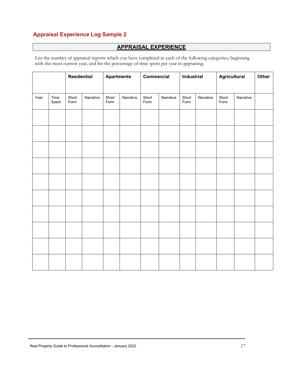# **Appraisal Experience Log Sample 2**

# **APPRAISAL EXPERIENCE**

List the number of appraisal reports which you have completed in each of the following categories, beginning with the most current year, and list the percentage of time spent per year in appraising.

|      |               | <b>Residential</b> |           | <b>Apartments</b> |           | Commercial    |           | Industrial    |           | <b>Agricultural</b> |           | Other |
|------|---------------|--------------------|-----------|-------------------|-----------|---------------|-----------|---------------|-----------|---------------------|-----------|-------|
| Year | Time<br>Spent | Short<br>Form      | Narrative | Short<br>Form     | Narrative | Short<br>Form | Narrative | Short<br>Form | Narrative | Short<br>Form       | Narrative |       |
|      |               |                    |           |                   |           |               |           |               |           |                     |           |       |
|      |               |                    |           |                   |           |               |           |               |           |                     |           |       |
|      |               |                    |           |                   |           |               |           |               |           |                     |           |       |
|      |               |                    |           |                   |           |               |           |               |           |                     |           |       |
|      |               |                    |           |                   |           |               |           |               |           |                     |           |       |
|      |               |                    |           |                   |           |               |           |               |           |                     |           |       |
|      |               |                    |           |                   |           |               |           |               |           |                     |           |       |
|      |               |                    |           |                   |           |               |           |               |           |                     |           |       |
|      |               |                    |           |                   |           |               |           |               |           |                     |           |       |
|      |               |                    |           |                   |           |               |           |               |           |                     |           |       |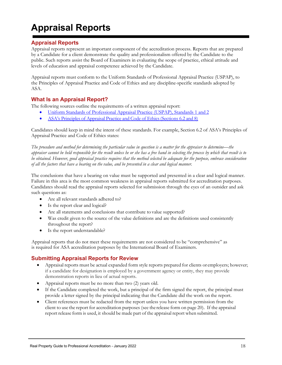# <span id="page-18-0"></span>**Appraisal Reports**

### **Appraisal Reports**

Appraisal reports represent an important component of the accreditation process. Reports that are prepared by a Candidate for a client demonstrate the quality and professionalism offered by the Candidate to the public. Such reports assist the Board of Examiners in evaluating the scope of practice, ethical attitude and levels of education and appraisal competence achieved by the Candidate.

Appraisal reports must conform to the Uniform Standards of Professional Appraisal Practice (USPAP), to the Principles of Appraisal Practice and Code of Ethics and any discipline-specific standards adopted by ASA.

### **What Is an Appraisal Report?**

The following sources outline the requirements of a written appraisal report:

- [Uniform Standards](https://www.appraisalfoundation.org/iMIS/TAF/Default.aspx?hkey=87515edb-20e4-40fc-936f-9fe6c3a9532e&%3Bamp%3BWebsiteKey=e12b6085-ff54-45c1-853e-b838ca4b9895) of Professional Appraisal Practice (USPAP), Standards 1 and 2
- ASA's Principles of Appraisal Practice and Code of Ethics (Sections 6.2 and 8)

Candidates should keep in mind the intent of these standards. For example, Section 6.2 of ASA's Principles of Appraisal Practice and Code of Ethics states:

*The procedure and method for determining the particular value in question is a matter for the appraiser to determine—the appraiser cannot be held responsible for the result unless he or she has a free hand in selecting the process by which that result is to be obtained. However, good appraisal practice requires that the method selected be adequate for the purpose, embrace consideration of all the factors that have a bearing on the value, and be presented in a clear and logical manner.*

The conclusions that have a bearing on value must be supported and presented in a clear and logical manner. Failure in this area is the most common weakness in appraisal reports submitted for accreditation purposes. Candidates should read the appraisal reports selected for submission through the eyes of an outsider and ask such questions as:

- Are all relevant standards adhered to?
- Is the report clear and logical?
- Are all statements and conclusions that contribute to value supported?
- Was credit given to the source of the value definitions and are the definitions used consistently throughout the report?
- Is the report understandable?

Appraisal reports that do not meet these requirements are not considered to be "comprehensive" as is required for ASA accreditation purposes by the International Board of Examiners.

# **Submitting Appraisal Reports for Review**

- Appraisal reports must be actual expanded form style reports prepared for clients or employers; however; if a candidate for designation is employed by a government agency or entity, they may provide demonstration reports in lieu of actual reports.
- Appraisal reports must be no more than two (2) years old.
- If the Candidate completed the work, but a principal of the firm signed the report, the principal must provide a letter signed by the principal indicating that the Candidate did the work on the report.
- Client references must be redacted from the report unless you have written permission from the client to use the report for accreditation purposes (see the release form on page 20). If the appraisal report release form is used, it should be made part of the appraisal report when submitted.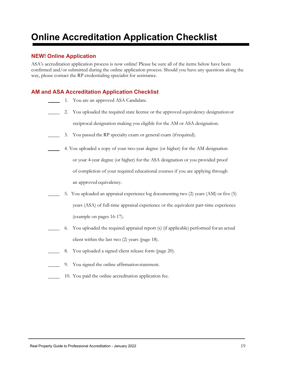# **Online Accreditation Application Checklist**

### **NEW! Online Application**

ASA's accreditation application process is now online! Please be sure all of the items below have been confirmed and/or submitted during the online application process. Should you have any questions along the way, please contact the RP credentialing specialist for assistance.

#### **AM and ASA Accreditation Application Checklist**

- 1. You are an approved ASA Candidate.
- 2. You uploaded the required state license or the approved equivalency designation or reciprocal designation making you eligible for the AM or ASA designation.
- 3. You passed the RP specialty exam or general exam (ifrequired).
- 4. You uploaded a copy of your two-year degree (or higher) for the AM designation or your 4-year degree (or higher) for the ASA designation or you provided proof of completion of your required educational courses if you are applying through an approved equivalency.
- 5. You uploaded an appraisal experience log documenting two (2) years (AM) or five (5) years (ASA) of full-time appraisal experience or the equivalent part-time experience (example on pages 16-17).
- 6. You uploaded the required appraisal report (s) (if applicable) performed for an actual client within the last two (2) years (page 18).
- 8. You uploaded a signed client release form (page 20).
	- 9. You signed the online affirmation statement.
- 10. You paid the online accreditation application fee.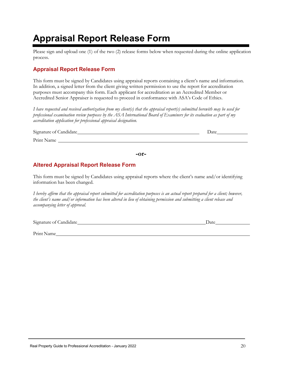# **Appraisal Report Release Form**

Please sign and upload one (1) of the two (2) release forms below when requested during the online application process.

# <span id="page-20-0"></span>**Appraisal Report Release Form**

This form must be signed by Candidates using appraisal reports containing a client's name and information. In addition, a signed letter from the client giving written permission to use the report for accreditation purposes must accompany this form. Each applicant for accreditation as an Accredited Member or Accredited Senior Appraiser is requested to proceed in conformance with ASA's Code of Ethics.

*I have requested and received authorization from my client(s) that the appraisal report(s) submitted herewith may be used for professional examination review purposes by the ASA International Board of Examiners for its evaluation as part of my accreditation application for professional appraisal designation.*

| Signature of Candidate_ | Date |
|-------------------------|------|
| Print Name              |      |
|                         |      |

**-or-**

# **Altered Appraisal Report Release Form**

This form must be signed by Candidates using appraisal reports where the client's name and/or identifying information has been changed.

*I hereby affirm that the appraisal report submitted for accreditation purposes is an actual report prepared for a client; however, the client's name and/or information has been altered in lieu of obtaining permission and submitting a client release and accompanying letter of approval.*

Signature of Candidate Date Date Date

Print Name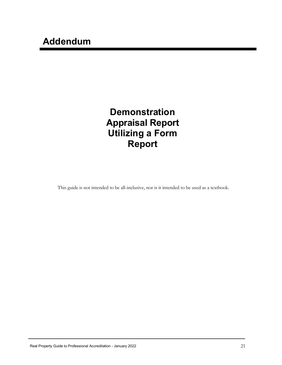# **Demonstration Appraisal Report Utilizing a Form Report**

This guide is not intended to be all-inclusive, nor is it intended to be used as a textbook.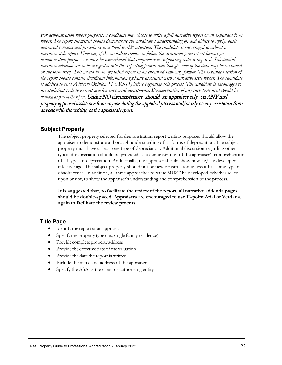*For demonstration report purposes, a candidate may choose to write a full narrative report or an expanded form report. The report submitted should demonstrate the candidate's understanding of, and ability to apply, basic appraisal concepts and procedures in a "real world" situation. The candidate is encouraged to submit a narrative style report. However, if the candidate chooses to follow the structured form report format for demonstration purposes, it must be remembered that comprehensive supporting data is required. Substantial narrative addenda are to be integrated into this reporting format even though some of the data may be contained on the form itself. This would be an appraisal report in an enhanced summary format. The expanded section of the report should contain significant information typically associated with a narrative style report. The candidate is advised to read Advisory Opinion 11 (AO-11) before beginning this process. The candidate is encouraged to use statistical tools to extract market supported adjustments. Documentation of any such tools used should be included as part of the report*. Under NO circumstances should an appraiser rely on ANY real property appraisal assistance from anyone during the appraisal process and/or rely on any assistance from anyone with the writing of the appraisal report.

#### **Subject Property**

The subject property selected for demonstration report writing purposes should allow the appraiser to demonstrate a thorough understanding of all forms of depreciation. The subject property must have at least one type of depreciation. Additional discussion regarding other types of depreciation should be provided, as a demonstration of the appraiser's comprehension of all types of depreciation. Additionally, the appraiser should show how he/she developed effective age. The subject property should not be new construction unless it has some type of obsolescence. In addition, all three approaches to value MUST be developed, whether relied upon or not, to show the appraiser's understanding and comprehension of the process.

**It is suggested that, to facilitate the review of the report, all narrative addenda pages should be double-spaced. Appraisers are encouraged to use 12-point Arial or Verdana, again to facilitate the review process.**

#### **Title Page**

- Identify the report as an appraisal
- Specify the property type (i.e., single family residence)
- Provide complete property address
- Provide the effective date of the valuation
- Provide the date the report is written
- Include the name and address of the appraiser
- Specify the ASA as the client or authorizing entity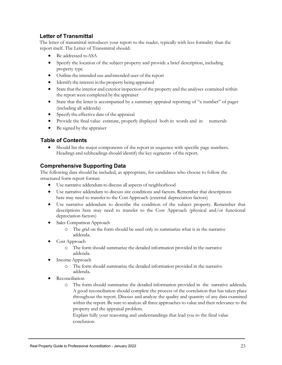# **Letter of Transmittal**

The letter of transmittal introduces your report to the reader, typically with less formality than the report itself. The Letter of Transmittal should:

- Be addressed to ASA
- Specify the location of the subject property and provide a brief description, including property type
- Outline the intended use and intended user of the report
- Identify the interest in the property being appraised
- State that the interior and exterior inspection of the property and the analyses contained within the report were completed by the appraiser
- State that the letter is accompanied by a summary appraisal reporting of "x number" of pages (including all addenda)
- Specify the effective date of the appraisal
- Provide the final value estimate, properly displayed both in words and in numerals
- Be signed by the appraiser

# **Table of Contents**

• Should list the major components of the report in sequence with specific page numbers. Headings and subheadings should identify the key segments of the report.

### **Comprehensive Supporting Data**

The following data should be included, as appropriate, for candidates who choose to follow the structured form report format:

- Use narrative addendum to discuss all aspects of neighborhood
- Use narrative addendum to discuss site conditions and factors. Remember that descriptions here may need to transfer to the Cost Approach (external depreciation factors)
- Use narrative addendum to describe the condition of the subject property. Remember that descriptions here may need to transfer to the Cost Approach (physical and/or functional depreciation factors)
- Sales Comparison Approach
	- o The grid on the form should be used only to summarize what is in the narrative addenda.
- Cost Approach
	- o The form should summarize the detailed information provided in the narrative addenda.
- Income Approach
	- o The form should summarize the detailed information provided in the narrative addenda.
- **Reconciliation** 
	- o The form should summarize the detailed information provided in the narrative addenda. A good reconciliation should complete the process of the correlation that has taken place throughout the report. Discuss and analyze the quality and quantity of any data examined within the report. Be sure to analyze all three approaches to value and their relevance to the property and the appraisal problem.

Explain fully your reasoning and understandings that lead you to the final value conclusion.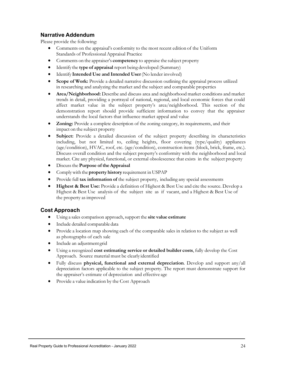# **Narrative Addendum**

Please provide the following:

- Comments on the appraisal's conformity to the most recent edition of the Uniform Standards of Professional Appraisal Practice
- Comments on the appraiser's **competency** to appraise the subject property
- Identify the **type of appraisal** report being developed (Summary)
- Identify **Intended Use and Intended User**(No lender involved)
- **Scope of Work:** Provide a detailed narrative discussion outlining the appraisal process utilized in researching and analyzing the market and the subject and comparable properties
- **Area/Neighborhood:** Describe and discuss area and neighborhood market conditions and market trends in detail, providing a portrayal of national, regional, and local economic forces that could affect market value in the subject property's area/neighborhood. This section of the demonstration report should provide sufficient information to convey that the appraiser understands the local factors that influence market appeal and value
- **Zoning:** Provide a complete description of the zoning category, its requirements, and their impact on the subject property
- **Subject:** Provide a detailed discussion of the subject property describing its characteristics including, but not limited to, ceiling heights, floor covering (type/quality) appliances (age/condition), HVAC, roof, etc. (age/condition), construction items (block, brick, frame, etc.). Discuss overall condition and the subject property's conformity with the neighborhood and local market. Cite any physical, functional, or external obsolescence that exists in the subject property
- Discussthe **Purpose of theAppraisal**
- Complywith the **property history** requirement in USPAP
- Provide full **tax information of** the subject property, including any special assessments
- **Highest & Best Use:** Provide a definition of Highest & Best Use and cite the source. Develop a Highest & Best Use analysis of the subject site as if vacant, and a Highest & Best Use of the property as improved

#### **Cost Approach**

- Using a sales comparison approach,support the **site value estimate**
- Include detailed comparable data
- Provide a location map showing each of the comparable sales in relation to the subject as well as photographs of each sale
- Include an adjustmentgrid
- Using a recognized **cost estimating service or detailed builder costs**, fully develop the Cost Approach. Source material must be clearly identified
- Fully discuss **physical, functional and external depreciation**. Develop and support any/all depreciation factors applicable to the subject property. The report must demonstrate support for the appraiser's estimate of depreciation and effective age
- Provide a value indication by the Cost Approach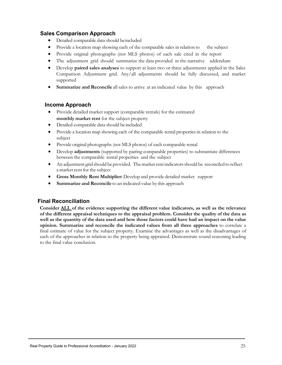#### **Sales Comparison Approach**

- Detailed comparable data should beincluded
- Provide a location map showing each of the comparable sales in relation to the subject
- Provide original photographs (not MLS photos) of each sale cited in the report
- The adjustment grid should summarize the data provided in the narrative addendum
- Develop **paired sales analyses** to support at least two or three adjustments applied in the Sales Comparison Adjustment grid. Any/all adjustments should be fully discussed, and market supported
- **Summarize and Reconcile** all sales to arrive at an indicated value by this approach

#### **Income Approach**

- Provide detailed market support (comparable rentals) for the estimated **monthly market rent** for the subject property
- Detailed comparable data should be included
- Provide a location map showing each of the comparable rental properties in relation to the subject
- Provide original photographs (not MLS photos) of each comparable rental
- Develop **adjustments** (supported by pairing comparable properties) to substantiate differences between the comparable rental properties and the subject
- An adjustment grid should be provided. The market rent indicators should be reconciled to reflect a market rent for the subject
- **Gross Monthly Rent Multiplier:** Develop and provide detailed market support
- **Summarize and Reconcile** to an indicated value by this approach

# **Final Reconciliation**

**Consider ALL of the evidence supporting the different value indicators, as well as the relevance of the different appraisal techniques to the appraisal problem. Consider the quality of the data as** well as the quantity of the data used and how those factors could have had an impact on the value **opinion. Summarize and reconcile the indicated values from all three approaches** to correlate a final estimate of value for the subject property. Examine the advantages as well as the disadvantages of each of the approaches in relation to the property being appraised. Demonstrate sound reasoning leading to the final value conclusion.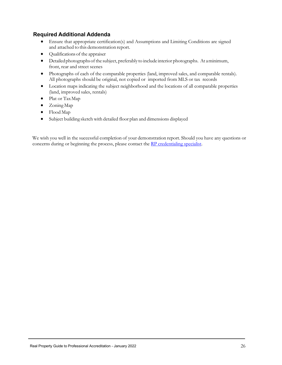### **Required Additional Addenda**

- Ensure that appropriate certification(s) and Assumptions and Limiting Conditions are signed and attached to this demonstration report.
- Qualifications of the appraiser
- Detailed photographs of the subject, preferably to include interior photographs. At a minimum, front, rear and street scenes
- Photographs of each of the comparable properties (land, improved sales, and comparable rentals). All photographs should be original, not copied or imported from MLS or tax records
- Location maps indicating the subject neighborhood and the locations of all comparable properties (land, improved sales, rentals)
- Plat or Tax Map
- Zoning Map
- Flood Map
- Subject building sketch with detailed floor plan and dimensions displayed

We wish you well in the successful completion of your demonstration report. Should you have any questions or concerns during or beginning the process, please contact th[e RP credentialing specialist.](mailto:credentials@appraisers.org)